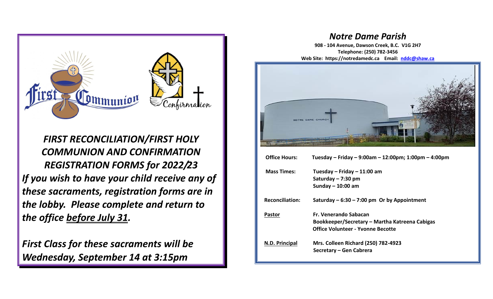

*FIRST RECONCILIATION/FIRST HOLY COMMUNION AND CONFIRMATION REGISTRATION FORMS for 2022/23 If you wish to have your child receive any of these sacraments, registration forms are in the lobby. Please complete and return to the office before July 31.*

*First Class for these sacraments will be Wednesday, September 14 at 3:15pm*

## *Notre Dame Parish*

**908 - 104 Avenue, Dawson Creek, B.C. V1G 2H7 Telephone: (250) 782-3456 Web Site: https://notredamedc.ca Email: [nddc@shaw.ca](mailto:nddc@shaw.ca)**



| <b>Mass Times:</b>     | Tuesday – Friday – 11:00 am<br>Saturday - 7:30 pm<br>Sunday $-$ 10:00 am                                     |
|------------------------|--------------------------------------------------------------------------------------------------------------|
| <b>Reconciliation:</b> | Saturday $-6:30 - 7:00$ pm Or by Appointment                                                                 |
| <b>Pastor</b>          | Fr. Venerando Sabacan<br>Bookkeeper/Secretary – Martha Katreena Cabigas<br>Office Volunteer - Yvonne Becotte |
| N.D. Principal         | <b>Mrs. Colleen Richard (250) 782-4923</b><br>Secretary – Gen Cabrera                                        |